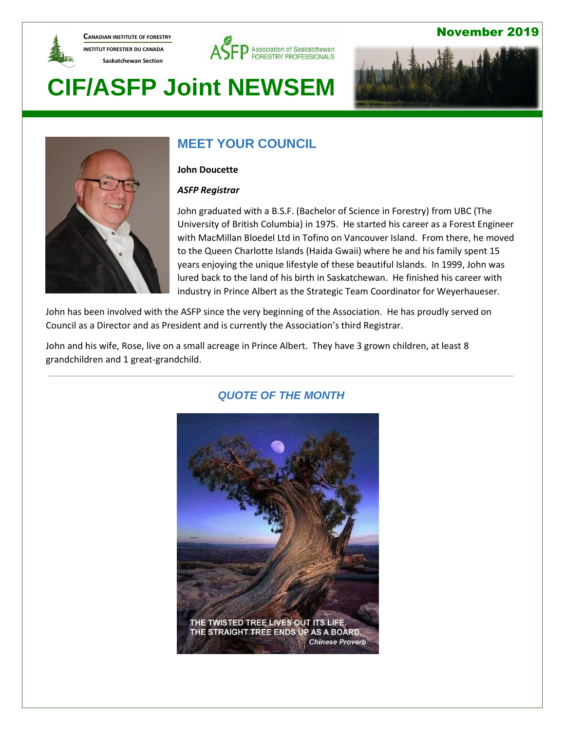

**CANADIAN INSTITUTE OF FORESTRY INSTITUT FORESTIER DU CANADA Saskatchewan Section** 



#### November 2019

# **CIF/ASFP Joint NEWSEM**





### **MEET YOUR COUNCIL**

#### **John Doucette**

#### *ASFP Registrar*

John graduated with a B.S.F. (Bachelor of Science in Forestry) from UBC (The University of British Columbia) in 1975. He started his career as a Forest Engineer with MacMillan Bloedel Ltd in Tofino on Vancouver Island. From there, he moved to the Queen Charlotte Islands (Haida Gwaii) where he and his family spent 15 years enjoying the unique lifestyle of these beautiful Islands. In 1999, John was lured back to the land of his birth in Saskatchewan. He finished his career with industry in Prince Albert as the Strategic Team Coordinator for Weyerhaueser.

John has been involved with the ASFP since the very beginning of the Association. He has proudly served on Council as a Director and as President and is currently the Association's third Registrar.

John and his wife, Rose, live on a small acreage in Prince Albert. They have 3 grown children, at least 8 grandchildren and 1 great-grandchild.



#### *QUOTE OF THE MONTH*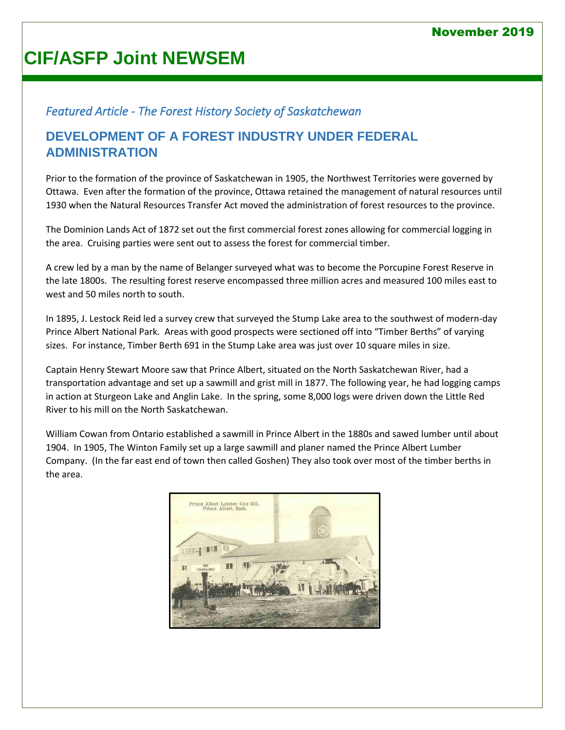# **CIF/ASFP Joint NEWSEM**

#### *Featured Article - The Forest History Society of Saskatchewan*

#### **DEVELOPMENT OF A FOREST INDUSTRY UNDER FEDERAL ADMINISTRATION**

Prior to the formation of the province of Saskatchewan in 1905, the Northwest Territories were governed by Ottawa. Even after the formation of the province, Ottawa retained the management of natural resources until 1930 when the Natural Resources Transfer Act moved the administration of forest resources to the province.

The Dominion Lands Act of 1872 set out the first commercial forest zones allowing for commercial logging in the area. Cruising parties were sent out to assess the forest for commercial timber.

A crew led by a man by the name of Belanger surveyed what was to become the Porcupine Forest Reserve in the late 1800s. The resulting forest reserve encompassed three million acres and measured 100 miles east to west and 50 miles north to south.

In 1895, J. Lestock Reid led a survey crew that surveyed the Stump Lake area to the southwest of modern-day Prince Albert National Park. Areas with good prospects were sectioned off into "Timber Berths" of varying sizes. For instance, Timber Berth 691 in the Stump Lake area was just over 10 square miles in size.

Captain Henry Stewart Moore saw that Prince Albert, situated on the North Saskatchewan River, had a transportation advantage and set up a sawmill and grist mill in 1877. The following year, he had logging camps in action at Sturgeon Lake and Anglin Lake. In the spring, some 8,000 logs were driven down the Little Red River to his mill on the North Saskatchewan.

William Cowan from Ontario established a sawmill in Prince Albert in the 1880s and sawed lumber until about 1904. In 1905, The Winton Family set up a large sawmill and planer named the Prince Albert Lumber Company. (In the far east end of town then called Goshen) They also took over most of the timber berths in the area.

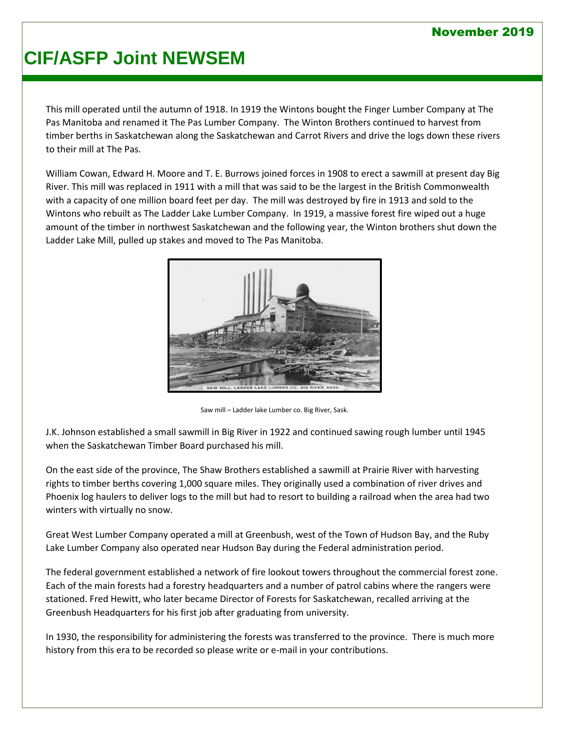#### November 2019

# **CIF/ASFP Joint NEWSEM**

This mill operated until the autumn of 1918. In 1919 the Wintons bought the Finger Lumber Company at The Pas Manitoba and renamed it The Pas Lumber Company. The Winton Brothers continued to harvest from timber berths in Saskatchewan along the Saskatchewan and Carrot Rivers and drive the logs down these rivers to their mill at The Pas.

William Cowan, Edward H. Moore and T. E. Burrows joined forces in 1908 to erect a sawmill at present day Big River. This mill was replaced in 1911 with a mill that was said to be the largest in the British Commonwealth with a capacity of one million board feet per day. The mill was destroyed by fire in 1913 and sold to the Wintons who rebuilt as The Ladder Lake Lumber Company. In 1919, a massive forest fire wiped out a huge amount of the timber in northwest Saskatchewan and the following year, the Winton brothers shut down the Ladder Lake Mill, pulled up stakes and moved to The Pas Manitoba.



Saw mill – Ladder lake Lumber co. Big River, Sask.

J.K. Johnson established a small sawmill in Big River in 1922 and continued sawing rough lumber until 1945 when the Saskatchewan Timber Board purchased his mill.

On the east side of the province, The Shaw Brothers established a sawmill at Prairie River with harvesting rights to timber berths covering 1,000 square miles. They originally used a combination of river drives and Phoenix log haulers to deliver logs to the mill but had to resort to building a railroad when the area had two winters with virtually no snow.

Great West Lumber Company operated a mill at Greenbush, west of the Town of Hudson Bay, and the Ruby Lake Lumber Company also operated near Hudson Bay during the Federal administration period.

The federal government established a network of fire lookout towers throughout the commercial forest zone. Each of the main forests had a forestry headquarters and a number of patrol cabins where the rangers were stationed. Fred Hewitt, who later became Director of Forests for Saskatchewan, recalled arriving at the Greenbush Headquarters for his first job after graduating from university.

In 1930, the responsibility for administering the forests was transferred to the province. There is much more history from this era to be recorded so please write or e-mail in your contributions.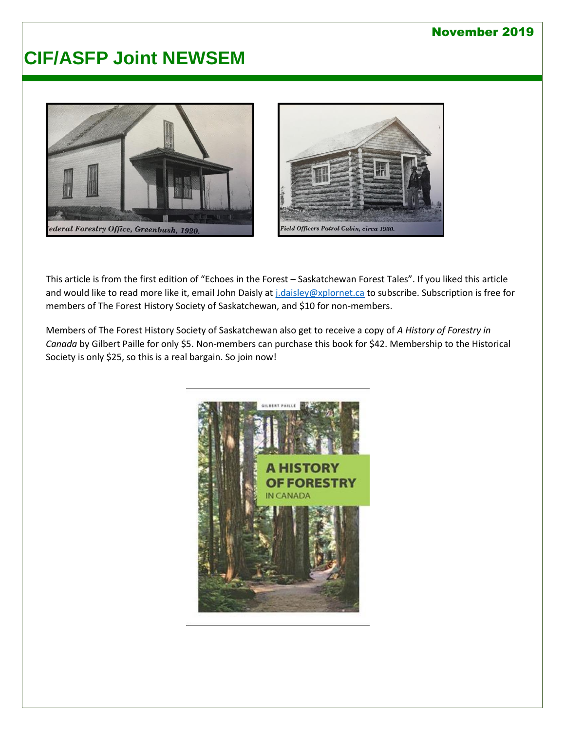#### November 2019

### **CIF/ASFP Joint NEWSEM**





This article is from the first edition of "Echoes in the Forest – Saskatchewan Forest Tales". If you liked this article and would like to read more like it, email John Daisly a[t j.daisley@xplornet.ca](mailto:j.daisley@xplornet.ca) to subscribe. Subscription is free for members of The Forest History Society of Saskatchewan, and \$10 for non-members.

Members of The Forest History Society of Saskatchewan also get to receive a copy of *A History of Forestry in Canada* by Gilbert Paille for only \$5. Non-members can purchase this book for \$42. Membership to the Historical Society is only \$25, so this is a real bargain. So join now!

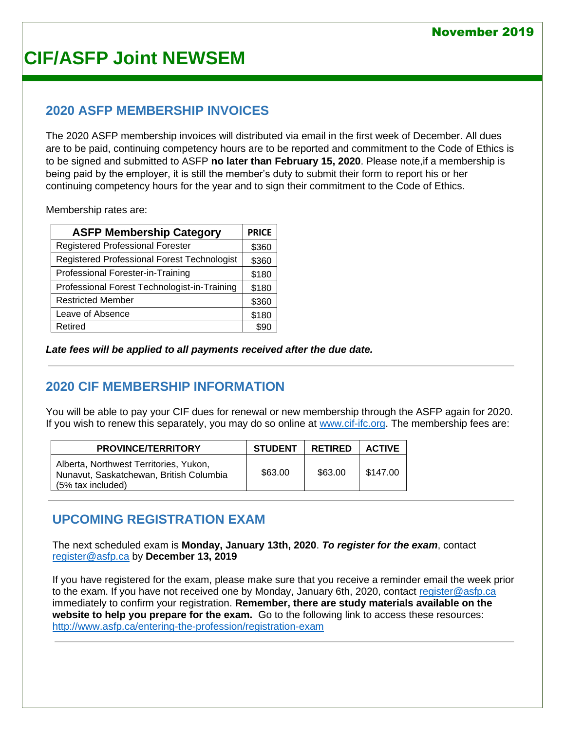# **CIF/ASFP Joint NEWSEM**

#### **2020 ASFP MEMBERSHIP INVOICES**

The 2020 ASFP membership invoices will distributed via email in the first week of December. All dues are to be paid, continuing competency hours are to be reported and commitment to the Code of Ethics is to be signed and submitted to ASFP **no later than February 15, 2020**. Please note,if a membership is being paid by the employer, it is still the member's duty to submit their form to report his or her continuing competency hours for the year and to sign their commitment to the Code of Ethics.

Membership rates are:

| <b>ASFP Membership Category</b>              |       |
|----------------------------------------------|-------|
| <b>Registered Professional Forester</b>      | \$360 |
| Registered Professional Forest Technologist  | \$360 |
| Professional Forester-in-Training            | \$180 |
| Professional Forest Technologist-in-Training | \$180 |
| <b>Restricted Member</b>                     | \$360 |
| Leave of Absence                             | \$180 |
| Retired                                      |       |

*Late fees will be applied to all payments received after the due date.*

### **2020 CIF MEMBERSHIP INFORMATION**

You will be able to pay your CIF dues for renewal or new membership through the ASFP again for 2020. If you wish to renew this separately, you may do so online at [www.cif-ifc.org.](http://www.cif-ifc.org/) The membership fees are:

| <b>PROVINCE/TERRITORY</b>                                                                              | <b>STUDENT</b> | <b>RETIRED</b> | <b>ACTIVE</b> |
|--------------------------------------------------------------------------------------------------------|----------------|----------------|---------------|
| Alberta, Northwest Territories, Yukon,<br>Nunavut, Saskatchewan, British Columbia<br>(5% tax included) | \$63.00        | \$63.00        | \$147.00      |

#### **UPCOMING REGISTRATION EXAM**

The next scheduled exam is **Monday, January 13th, 2020**. *To register for the exam*, contact [register@asfp.ca](mailto:register@asfp.ca) by **December 13, 2019**

If you have registered for the exam, please make sure that you receive a reminder email the week prior to the exam. If you have not received one by Monday, January 6th, 2020, contact [register@asfp.ca](mailto:register@asfp.ca) immediately to confirm your registration. **Remember, there are study materials available on the website to help you prepare for the exam.** Go to the following link to access these resources: <http://www.asfp.ca/entering-the-profession/registration-exam>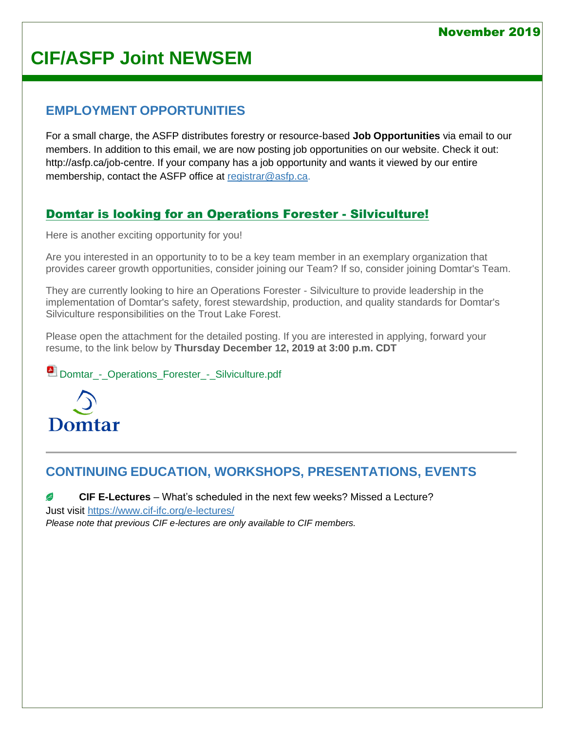# **CIF/ASFP Joint NEWSEM**

#### **EMPLOYMENT OPPORTUNITIES**

For a small charge, the ASFP distributes forestry or resource-based **Job Opportunities** via email to our members. In addition to this email, we are now posting job opportunities on our website. Check it out: [http://asfp.ca/job-centre.](http://asfp.ca/job-centre) If your company has a job opportunity and wants it viewed by our entire membership, contact the ASFP office at [registrar@asfp.ca.](mailto:registrar@asfp.ca)

#### [Domtar is looking for an Operations Forester -](http://www.asfp.ca/job-centre/43-job-5) Silviculture!

Here is another exciting opportunity for you!

Are you interested in an opportunity to to be a key team member in an exemplary organization that provides career growth opportunities, consider joining our Team? If so, consider joining Domtar's Team.

They are currently looking to hire an Operations Forester - Silviculture to provide leadership in the implementation of Domtar's safety, forest stewardship, production, and quality standards for Domtar's Silviculture responsibilities on the Trout Lake Forest.

Please open the attachment for the detailed posting. If you are interested in applying, forward your resume, to the link below by **Thursday December 12, 2019 at 3:00 p.m. CDT**

**Domtar** - Operations Forester - Silviculture.pdf



### **CONTINUING EDUCATION, WORKSHOPS, PRESENTATIONS, EVENTS**

**CIF E-Lectures** – What's scheduled in the next few weeks? Missed a Lecture? B Just visit<https://www.cif-ifc.org/e-lectures/>

*Please note that previous CIF e-lectures are only available to CIF members.*